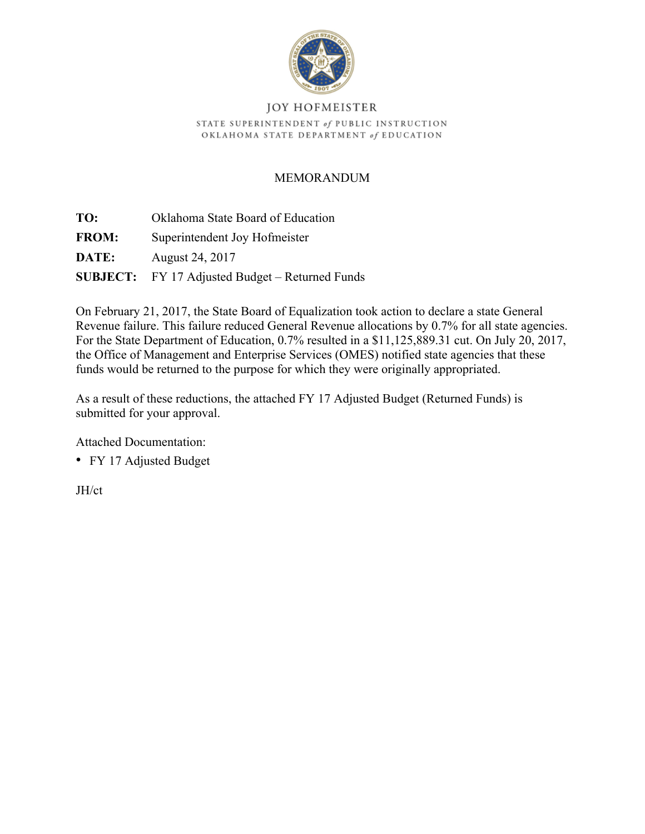

## **JOY HOFMEISTER** STATE SUPERINTENDENT of PUBLIC INSTRUCTION OKLAHOMA STATE DEPARTMENT of EDUCATION

## MEMORANDUM

**TO:** Oklahoma State Board of Education **FROM:** Superintendent Joy Hofmeister **DATE:** August 24, 2017

**SUBJECT:** FY 17 Adjusted Budget – Returned Funds

On February 21, 2017, the State Board of Equalization took action to declare a state General Revenue failure. This failure reduced General Revenue allocations by 0.7% for all state agencies. For the State Department of Education, 0.7% resulted in a \$11,125,889.31 cut. On July 20, 2017, the Office of Management and Enterprise Services (OMES) notified state agencies that these funds would be returned to the purpose for which they were originally appropriated.

As a result of these reductions, the attached FY 17 Adjusted Budget (Returned Funds) is submitted for your approval.

Attached Documentation:

• FY 17 Adjusted Budget

JH/ct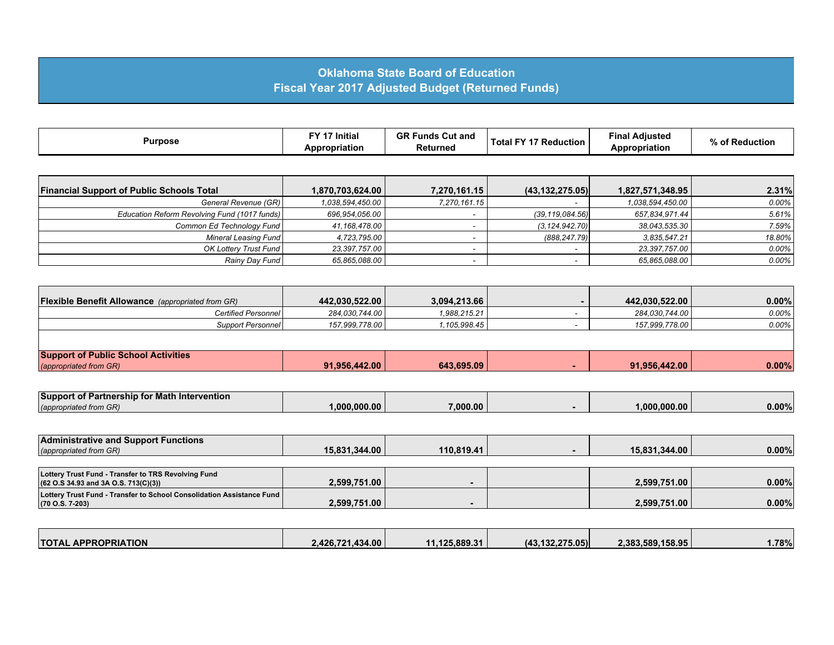## **Oklahoma State Board of Education Fiscal Year 2017 Adjusted Budget (Returned Funds)**

| <b>Purpose</b> | FV 47 11.<br><b>Initial</b><br>Appropriation | <b>GRF</b><br><b>Funds</b><br><b>Cut and</b><br>Returned | - 77<br>Reduction<br>í otal | .<br>Adiusted<br>Final<br>poropriation | ОТ<br>Reauction |
|----------------|----------------------------------------------|----------------------------------------------------------|-----------------------------|----------------------------------------|-----------------|
|----------------|----------------------------------------------|----------------------------------------------------------|-----------------------------|----------------------------------------|-----------------|

| <b>Financial Support of Public Schools Total</b> | 1,870,703,624.00 | 7,270,161.15 | (43, 132, 275.05) | 1,827,571,348.95 | 2.31%    |
|--------------------------------------------------|------------------|--------------|-------------------|------------------|----------|
| General Revenue (GR)                             | 1.038.594.450.00 | 7,270,161.15 |                   | 1.038.594.450.00 | $0.00\%$ |
| Education Reform Revolving Fund (1017 funds)     | 696,954,056.00   |              | (39,119,084.56)   | 657,834,971.44   | 5.61%    |
| Common Ed Technology Fund                        | 41,168,478.00    |              | (3, 124, 942, 70) | 38,043,535.30    | $7.59\%$ |
| Mineral Leasing Fund                             | 4,723,795.00     |              | (888, 247, 79)    | 3,835,547.21     | 18.80%   |
| <b>OK Lottery Trust Fund</b>                     | 23,397,757.00    |              |                   | 23,397,757.00    | $0.00\%$ |
| Rainy Day Fund                                   | 65,865,088.00    |              |                   | 65,865,088.00    | $0.00\%$ |

| <b>Flexible Benefit Allowance</b> (appropriated from GR)             | 442,030,522.00 | 3,094,213.66 | 442,030,522.00 | $0.00\%$ |
|----------------------------------------------------------------------|----------------|--------------|----------------|----------|
| Certified Personnel                                                  | 284,030,744.00 | 1,988,215.21 | 284,030,744.00 | $0.00\%$ |
| <b>Support Personnel</b>                                             | 157,999,778.00 | 1.105.998.45 | 157,999,778.00 | $0.00\%$ |
|                                                                      |                |              |                |          |
| <b>Support of Public School Activities</b><br>(appropriated from GR) | 91,956,442.00  | 643,695.09   | 91,956,442.00  | 0.00%    |

| <b>Support of Partnership for I</b><br><sup>∙</sup> Math Intervention∖ |             |          |                  |          |
|------------------------------------------------------------------------|-------------|----------|------------------|----------|
| (appropriated from GR)                                                 | .000.000.00 | 7,000.00 | $1.000.000.00$ . | $0.00\%$ |

| <b>Administrative and Support Functions</b><br>(appropriated from GR)                                 | 15.831.344.00 | 110.819.41 | 15.831.344.00 | $0.00\%$ |
|-------------------------------------------------------------------------------------------------------|---------------|------------|---------------|----------|
| Lottery Trust Fund - Transfer to TRS Revolving Fund<br>(62 O.S 34.93 and 3A O.S. 713(C)(3))           | 2.599.751.00  |            | 2.599.751.00  | $0.00\%$ |
| Lottery Trust Fund - Transfer to School Consolidation Assistance Fund<br>$(70 \text{ O.S. } 7 - 203)$ | 2.599.751.00  |            | 2,599,751.00  | $0.00\%$ |

| <b>TOTAL APPROPRIATION</b> | 2.426.721.434.00 | .1.125.889.31 | (43.132.275.05) | 2.383.589.158.95 | 1.78% |
|----------------------------|------------------|---------------|-----------------|------------------|-------|